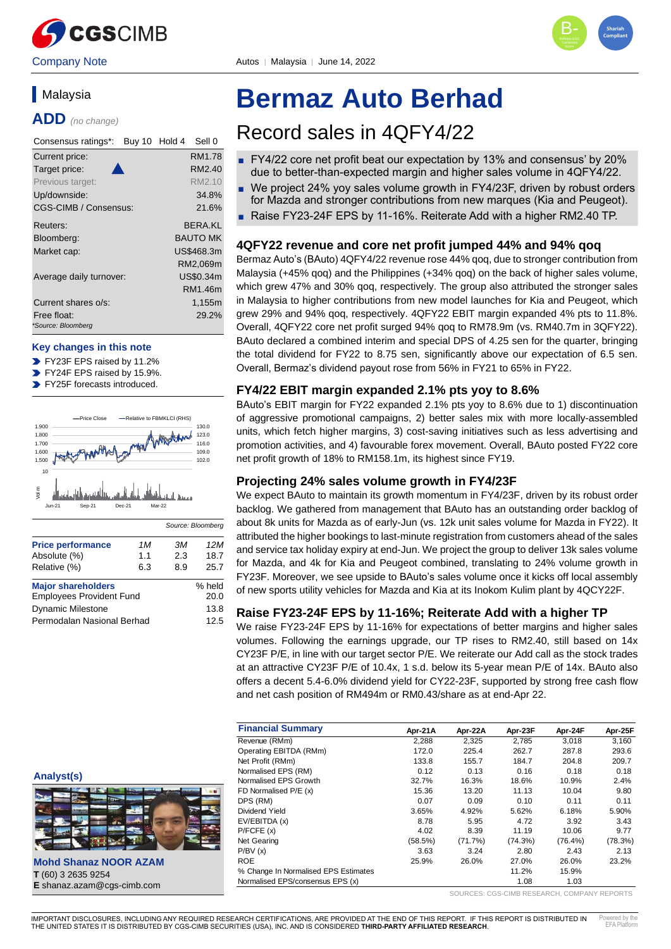



# **Malaysia**

**ADD** *(no change)*

| Consensus ratings*:<br>Buy 10 Hold 4 | Sell 0              |
|--------------------------------------|---------------------|
| Current price:                       | RM1.78              |
| Target price:                        | RM <sub>2</sub> .40 |
| Previous target:                     | RM2.10              |
| Up/downside:                         | 34.8%               |
| CGS-CIMB / Consensus:                | 21.6%               |
| Reuters:                             | <b>BERA.KL</b>      |
| Bloomberg:                           | <b>BAUTO MK</b>     |
| Market cap:                          | US\$468.3m          |
|                                      | RM2,069m            |
| Average daily turnover:              | US\$0.34m           |
|                                      | RM1.46m             |
| Current shares o/s:                  | 1,155m              |
| Free float:                          | 29.2%               |
| *Source: Bloomberg                   |                     |

### **Key changes in this note**

- FY23F EPS raised by 11.2%
- FY24F EPS raised by 15.9%.  $\blacktriangleright$
- FY25F forecasts introduced.



| <b>Price performance</b>        | 1M  | .ЗM    | 12M  |
|---------------------------------|-----|--------|------|
| Absolute (%)                    | 1.1 | 2.3    | 18.7 |
| Relative (%)                    | 6.3 | 8.9    | 25.7 |
|                                 |     |        |      |
| <b>Major shareholders</b>       |     | % held |      |
| <b>Employees Provident Fund</b> |     | 20.0   |      |
|                                 |     |        |      |
| <b>Dynamic Milestone</b>        |     |        | 13.8 |
| Permodalan Nasional Berhad      |     |        | 12.5 |

# **Bermaz Auto Berhad**

# Record sales in 4QFY4/22

- FY4/22 core net profit beat our expectation by 13% and consensus' by 20% due to better-than-expected margin and higher sales volume in 4QFY4/22.
- We project 24% yoy sales volume growth in FY4/23F, driven by robust orders for Mazda and stronger contributions from new marques (Kia and Peugeot).
- Raise FY23-24F EPS by 11-16%. Reiterate Add with a higher RM2.40 TP.

# **4QFY22 revenue and core net profit jumped 44% and 94% qoq**

Bermaz Auto's (BAuto) 4QFY4/22 revenue rose 44% qoq, due to stronger contribution from Malaysia (+45% qoq) and the Philippines (+34% qoq) on the back of higher sales volume, which grew 47% and 30% qoq, respectively. The group also attributed the stronger sales in Malaysia to higher contributions from new model launches for Kia and Peugeot, which grew 29% and 94% qoq, respectively. 4QFY22 EBIT margin expanded 4% pts to 11.8%. Overall, 4QFY22 core net profit surged 94% qoq to RM78.9m (vs. RM40.7m in 3QFY22). BAuto declared a combined interim and special DPS of 4.25 sen for the quarter, bringing the total dividend for FY22 to 8.75 sen, significantly above our expectation of 6.5 sen. Overall, Bermaz's dividend payout rose from 56% in FY21 to 65% in FY22.

# **FY4/22 EBIT margin expanded 2.1% pts yoy to 8.6%**

BAuto's EBIT margin for FY22 expanded 2.1% pts yoy to 8.6% due to 1) discontinuation of aggressive promotional campaigns, 2) better sales mix with more locally-assembled units, which fetch higher margins, 3) cost-saving initiatives such as less advertising and promotion activities, and 4) favourable forex movement. Overall, BAuto posted FY22 core net profit growth of 18% to RM158.1m, its highest since FY19.

# **Projecting 24% sales volume growth in FY4/23F**

We expect BAuto to maintain its growth momentum in FY4/23F, driven by its robust order backlog. We gathered from management that BAuto has an outstanding order backlog of about 8k units for Mazda as of early-Jun (vs. 12k unit sales volume for Mazda in FY22). It attributed the higher bookings to last-minute registration from customers ahead of the sales and service tax holiday expiry at end-Jun. We project the group to deliver 13k sales volume for Mazda, and 4k for Kia and Peugeot combined, translating to 24% volume growth in FY23F. Moreover, we see upside to BAuto's sales volume once it kicks off local assembly of new sports utility vehicles for Mazda and Kia at its Inokom Kulim plant by 4QCY22F.

# **Raise FY23-24F EPS by 11-16%; Reiterate Add with a higher TP**

We raise FY23-24F EPS by 11-16% for expectations of better margins and higher sales volumes. Following the earnings upgrade, our TP rises to RM2.40, still based on 14x CY23F P/E, in line with our target sector P/E. We reiterate our Add call as the stock trades at an attractive CY23F P/E of 10.4x, 1 s.d. below its 5-year mean P/E of 14x. BAuto also offers a decent 5.4-6.0% dividend yield for CY22-23F, supported by strong free cash flow and net cash position of RM494m or RM0.43/share as at end-Apr 22.

| <b>Financial Summary</b>             | Apr-21A | Apr-22A | Apr-23F    | Apr-24F    | Apr-25F |
|--------------------------------------|---------|---------|------------|------------|---------|
| Revenue (RMm)                        | 2,288   | 2,325   | 2,785      | 3.018      | 3,160   |
| Operating EBITDA (RMm)               | 172.0   | 225.4   | 262.7      | 287.8      | 293.6   |
| Net Profit (RMm)                     | 133.8   | 155.7   | 184.7      | 204.8      | 209.7   |
| Normalised EPS (RM)                  | 0.12    | 0.13    | 0.16       | 0.18       | 0.18    |
| Normalised EPS Growth                | 32.7%   | 16.3%   | 18.6%      | 10.9%      | 2.4%    |
| FD Normalised P/E (x)                | 15.36   | 13.20   | 11.13      | 10.04      | 9.80    |
| DPS (RM)                             | 0.07    | 0.09    | 0.10       | 0.11       | 0.11    |
| Dividend Yield                       | 3.65%   | 4.92%   | 5.62%      | 6.18%      | 5.90%   |
| EV/EBITDA (x)                        | 8.78    | 5.95    | 4.72       | 3.92       | 3.43    |
| P/FCFE(x)                            | 4.02    | 8.39    | 11.19      | 10.06      | 9.77    |
| <b>Net Gearing</b>                   | (58.5%) | (71.7%) | $(74.3\%)$ | $(76.4\%)$ | (78.3%) |
| P/BV(x)                              | 3.63    | 3.24    | 2.80       | 2.43       | 2.13    |
| <b>ROE</b>                           | 25.9%   | 26.0%   | 27.0%      | 26.0%      | 23.2%   |
| % Change In Normalised EPS Estimates |         |         | 11.2%      | 15.9%      |         |
| Normalised EPS/consensus EPS (x)     |         |         | 1.08       | 1.03       |         |

#### SOURCES: CGS-CIMB RESEARCH, COMPANY REPORTS

**Analyst(s)**

**Mohd Shanaz NOOR AZAM T** (60) 3 2635 9254 **E** shanaz.azam@cgs-cimb.com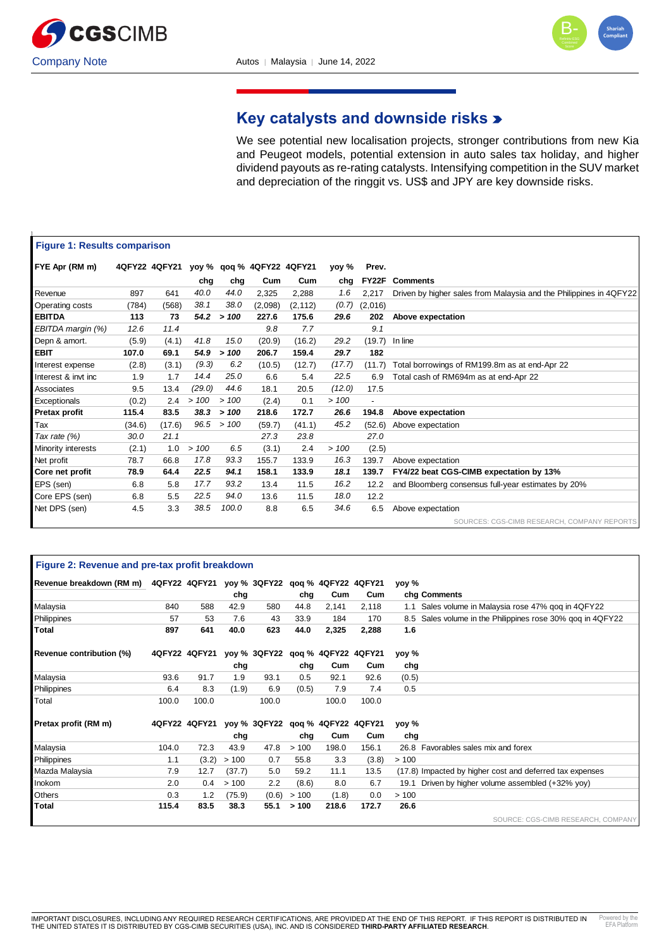



# **Key catalysts and downside risks**

We see potential new localisation projects, stronger contributions from new Kia and Peugeot models, potential extension in auto sales tax holiday, and higher dividend payouts as re-rating catalysts. Intensifying competition in the SUV market and depreciation of the ringgit vs. US\$ and JPY are key downside risks.

| <b>Figure 1: Results comparison</b> |        |               |        |       |                           |          |        |                          |                                                                    |
|-------------------------------------|--------|---------------|--------|-------|---------------------------|----------|--------|--------------------------|--------------------------------------------------------------------|
| FYE Apr (RM m)                      |        | 4QFY22 4QFY21 |        |       | yoy % qoq % 4QFY22 4QFY21 |          | yoy %  | Prev.                    |                                                                    |
|                                     |        |               | chg    | chg   | Cum                       | Cum      | chg    | FY22F                    | <b>Comments</b>                                                    |
| Revenue                             | 897    | 641           | 40.0   | 44.0  | 2,325                     | 2,288    | 1.6    | 2,217                    | Driven by higher sales from Malaysia and the Philippines in 4QFY22 |
| Operating costs                     | (784)  | (568)         | 38.1   | 38.0  | (2,098)                   | (2, 112) | (0.7)  | (2,016)                  |                                                                    |
| <b>EBITDA</b>                       | 113    | 73            | 54.2   | >100  | 227.6                     | 175.6    | 29.6   | 202                      | Above expectation                                                  |
| EBITDA margin (%)                   | 12.6   | 11.4          |        |       | 9.8                       | 7.7      |        | 9.1                      |                                                                    |
| Depn & amort.                       | (5.9)  | (4.1)         | 41.8   | 15.0  | (20.9)                    | (16.2)   | 29.2   | (19.7)                   | In line                                                            |
| EBIT                                | 107.0  | 69.1          | 54.9   | >100  | 206.7                     | 159.4    | 29.7   | 182                      |                                                                    |
| Interest expense                    | (2.8)  | (3.1)         | (9.3)  | 6.2   | (10.5)                    | (12.7)   | (17.7) | (11.7)                   | Total borrowings of RM199.8m as at end-Apr 22                      |
| Interest & invt inc.                | 1.9    | 1.7           | 14.4   | 25.0  | 6.6                       | 5.4      | 22.5   | 6.9                      | Total cash of RM694m as at end-Apr 22                              |
| Associates                          | 9.5    | 13.4          | (29.0) | 44.6  | 18.1                      | 20.5     | (12.0) | 17.5                     |                                                                    |
| Exceptionals                        | (0.2)  | 2.4           | >100   | >100  | (2.4)                     | 0.1      | >100   | $\overline{\phantom{a}}$ |                                                                    |
| Pretax profit                       | 115.4  | 83.5          | 38.3   | >100  | 218.6                     | 172.7    | 26.6   | 194.8                    | Above expectation                                                  |
| Tax                                 | (34.6) | (17.6)        | 96.5   | >100  | (59.7)                    | (41.1)   | 45.2   | (52.6)                   | Above expectation                                                  |
| Tax rate (%)                        | 30.0   | 21.1          |        |       | 27.3                      | 23.8     |        | 27.0                     |                                                                    |
| Minority interests                  | (2.1)  | 1.0           | >100   | 6.5   | (3.1)                     | 2.4      | >100   | (2.5)                    |                                                                    |
| Net profit                          | 78.7   | 66.8          | 17.8   | 93.3  | 155.7                     | 133.9    | 16.3   | 139.7                    | Above expectation                                                  |
| Core net profit                     | 78.9   | 64.4          | 22.5   | 94.1  | 158.1                     | 133.9    | 18.1   | 139.7                    | FY4/22 beat CGS-CIMB expectation by 13%                            |
| EPS (sen)                           | 6.8    | 5.8           | 17.7   | 93.2  | 13.4                      | 11.5     | 16.2   | 12.2                     | and Bloomberg consensus full-year estimates by 20%                 |
| Core EPS (sen)                      | 6.8    | 5.5           | 22.5   | 94.0  | 13.6                      | 11.5     | 18.0   | 12.2                     |                                                                    |
| Net DPS (sen)                       | 4.5    | 3.3           | 38.5   | 100.0 | 8.8                       | 6.5      | 34.6   | 6.5                      | Above expectation                                                  |
|                                     |        |               |        |       |                           |          |        |                          | SOURCES: CGS-CIMB RESEARCH, COMPANY REPORTS                        |

|                                                                         | Figure 2: Revenue and pre-tax profit breakdown |                                              |        |       |       |       |       |       |                                                          |  |  |  |
|-------------------------------------------------------------------------|------------------------------------------------|----------------------------------------------|--------|-------|-------|-------|-------|-------|----------------------------------------------------------|--|--|--|
| Revenue breakdown (RM m) 4QFY22 4QFY21 yoy % 3QFY22 gog % 4QFY22 4QFY21 |                                                |                                              |        |       |       |       |       | yoy % |                                                          |  |  |  |
|                                                                         |                                                |                                              | chg    |       | chg   | Cum   | Cum   |       | chg Comments                                             |  |  |  |
| Malaysia                                                                | 840                                            | 588                                          | 42.9   | 580   | 44.8  | 2,141 | 2,118 | 1.1   | Sales volume in Malaysia rose 47% gog in 4QFY22          |  |  |  |
| Philippines                                                             | 57                                             | 53                                           | 7.6    | 43    | 33.9  | 184   | 170   | 8.5   | Sales volume in the Philippines rose 30% gog in 4QFY22   |  |  |  |
| Total                                                                   | 897                                            | 641                                          | 40.0   | 623   | 44.0  | 2,325 | 2,288 | 1.6   |                                                          |  |  |  |
| Revenue contribution (%)                                                |                                                | 4QFY22 4QFY21 yoy% 3QFY22 gog% 4QFY22 4QFY21 |        |       |       |       |       | yoy % |                                                          |  |  |  |
|                                                                         |                                                |                                              | chg    |       | chg   | Cum   | Cum   | chg   |                                                          |  |  |  |
| Malaysia                                                                | 93.6                                           | 91.7                                         | 1.9    | 93.1  | 0.5   | 92.1  | 92.6  | (0.5) |                                                          |  |  |  |
| Philippines                                                             | 6.4                                            | 8.3                                          | (1.9)  | 6.9   | (0.5) | 7.9   | 7.4   | 0.5   |                                                          |  |  |  |
| Total                                                                   | 100.0                                          | 100.0                                        |        | 100.0 |       | 100.0 | 100.0 |       |                                                          |  |  |  |
| Pretax profit (RM m)                                                    |                                                | 4QFY22 4QFY21 yoy% 3QFY22 gog% 4QFY22 4QFY21 |        |       |       |       |       | yoy % |                                                          |  |  |  |
|                                                                         |                                                |                                              | chg    |       | chg   | Cum   | Cum   | chg   |                                                          |  |  |  |
| Malaysia                                                                | 104.0                                          | 72.3                                         | 43.9   | 47.8  | >100  | 198.0 | 156.1 |       | 26.8 Favorables sales mix and forex                      |  |  |  |
| Philippines                                                             | 1.1                                            | (3.2)                                        | >100   | 0.7   | 55.8  | 3.3   | (3.8) | >100  |                                                          |  |  |  |
| Mazda Malaysia                                                          | 7.9                                            | 12.7                                         | (37.7) | 5.0   | 59.2  | 11.1  | 13.5  |       | (17.8) Impacted by higher cost and deferred tax expenses |  |  |  |
| Inokom                                                                  | 2.0                                            | 0.4                                          | >100   | 2.2   | (8.6) | 8.0   | 6.7   | 19.1  | Driven by higher volume assembled (+32% yoy)             |  |  |  |
| Others                                                                  | 0.3                                            | 1.2                                          | (75.9) | (0.6) | >100  | (1.8) | 0.0   | >100  |                                                          |  |  |  |
| Total                                                                   | 115.4                                          | 83.5                                         | 38.3   | 55.1  | > 100 | 218.6 | 172.7 | 26.6  |                                                          |  |  |  |

SOURCE: CGS-CIMB RESEARCH, COMPANY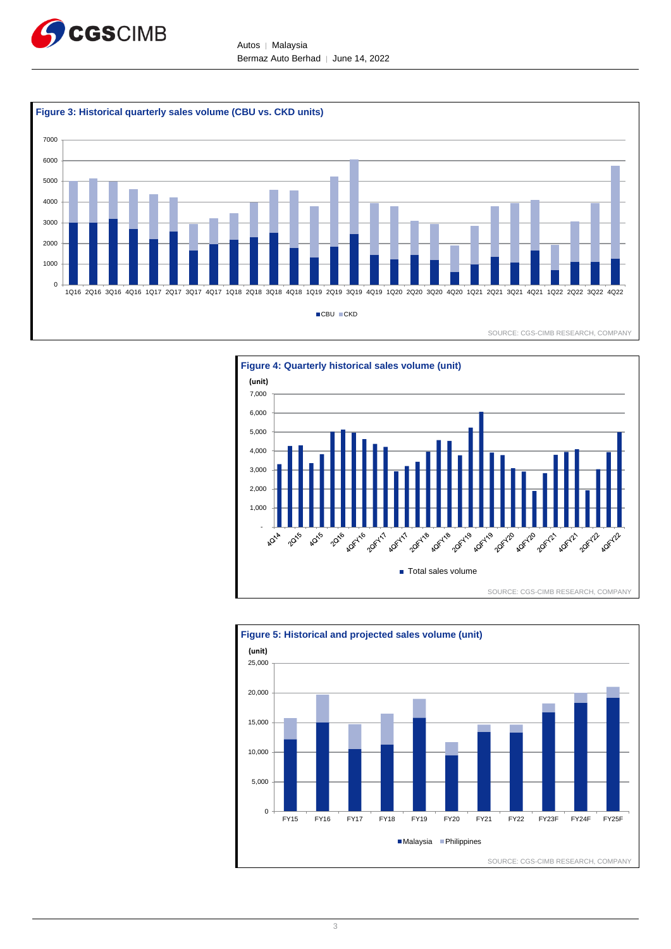

Autos │ Malaysia Bermaz Auto Berhad │ June 14, 2022





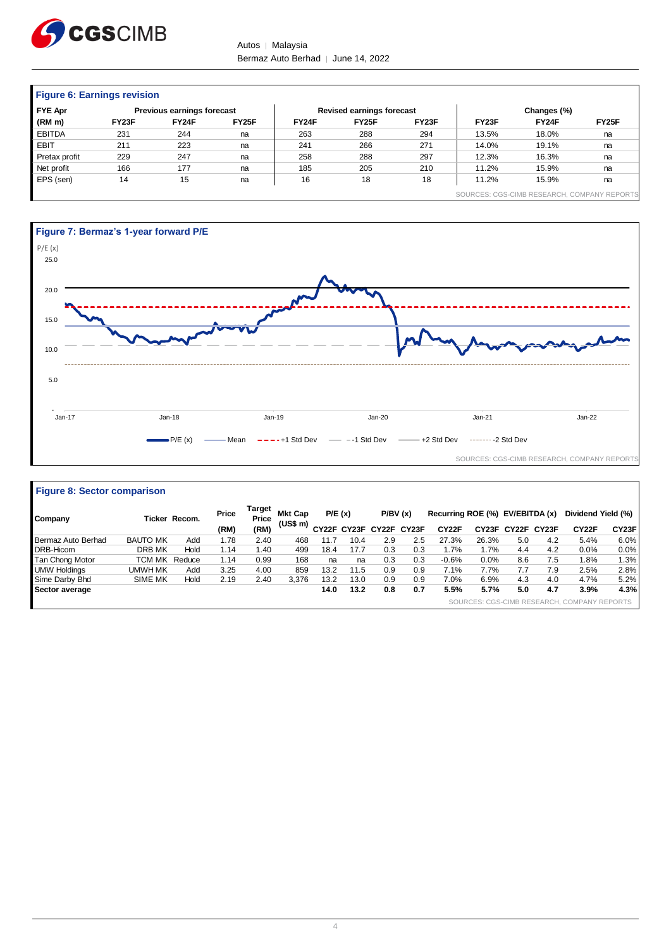

Autos | Malaysia Bermaz Auto Berhad | June 14, 2022

| <b>Figure 6: Earnings revision</b> |       |                                   |       |       |                                  |       |                                             |             |       |  |  |
|------------------------------------|-------|-----------------------------------|-------|-------|----------------------------------|-------|---------------------------------------------|-------------|-------|--|--|
| <b>FYE Apr</b>                     |       | <b>Previous earnings forecast</b> |       |       | <b>Revised earnings forecast</b> |       |                                             | Changes (%) |       |  |  |
| (RM m)                             | FY23F | FY24F                             | FY25F | FY24F | FY <sub>25</sub> F               | FY23F | FY <sub>23</sub> F                          | FY24F       | FY25F |  |  |
| <b>EBITDA</b>                      | 231   | 244                               | na    | 263   | 288                              | 294   | 13.5%                                       | 18.0%       | na    |  |  |
| <b>EBIT</b>                        | 211   | 223                               | na    | 241   | 266                              | 271   | 14.0%                                       | 19.1%       | na    |  |  |
| Pretax profit                      | 229   | 247                               | na    | 258   | 288                              | 297   | 12.3%                                       | 16.3%       | na    |  |  |
| Net profit                         | 166   | 177                               | na    | 185   | 205                              | 210   | 11.2%                                       | 15.9%       | na    |  |  |
| EPS (sen)                          | 14    | 15                                | na    | 16    | 18                               | 18    | 11.2%                                       | 15.9%       | na    |  |  |
|                                    |       |                                   |       |       |                                  |       | SOURCES: CGS-CIMB RESEARCH, COMPANY REPORTS |             |       |  |  |



| Company             |                 | Ticker Recom. | Price | Target<br>Price | <b>Mkt Cap</b> | P/E(x)             |      | P/BV(x)           |     | Recurring ROE (%) EV/EBITDA (x) |       |     |             | Dividend Yield (%)                          |       |
|---------------------|-----------------|---------------|-------|-----------------|----------------|--------------------|------|-------------------|-----|---------------------------------|-------|-----|-------------|---------------------------------------------|-------|
|                     |                 |               | (RM)  | (RM)            | (US\$ m)       | CY <sub>22</sub> F |      | CY23F CY22F CY23F |     | CY22F                           | CY23F |     | CY22F CY23F | CY22F                                       | CY23F |
| Bermaz Auto Berhad  | <b>BAUTO MK</b> | Add           | 1.78  | 2.40            | 468            | 11.7               | 10.4 | 2.9               | 2.5 | 27.3%                           | 26.3% | 5.0 | 4.2         | 5.4%                                        | 6.0%  |
| DRB-Hicom           | DRB MK          | Hold          | 1.14  | 1.40            | 499            | 18.4               | 17.7 | 0.3               | 0.3 | 1.7%                            | 1.7%  | 4.4 | 4.2         | 0.0%                                        | 0.0%  |
| Tan Chong Motor     | <b>TCM MK</b>   | Reduce        | 1.14  | 0.99            | 168            | na                 | na   | 0.3               | 0.3 | $-0.6%$                         | 0.0%  | 8.6 | 7.5         | 1.8%                                        | 1.3%  |
| <b>UMW Holdings</b> | UMWH MK         | Add           | 3.25  | 4.00            | 859            | 13.2               | 11.5 | 0.9               | 0.9 | 7.1%                            | 7.7%  | 7.7 | 7.9         | 2.5%                                        | 2.8%  |
| Sime Darby Bhd      | <b>SIME MK</b>  | Hold          | 2.19  | 2.40            | 3.376          | 13.2               | 13.0 | 0.9               | 0.9 | 7.0%                            | 6.9%  | 4.3 | 4.0         | 4.7%                                        | 5.2%  |
| Sector average      |                 |               |       |                 |                | 14.0               | 13.2 | 0.8               | 0.7 | 5.5%                            | 5.7%  | 5.0 | 4.7         | 3.9%                                        | 4.3%  |
|                     |                 |               |       |                 |                |                    |      |                   |     |                                 |       |     |             | SOURCES: CGS-CIMB RESEARCH, COMPANY REPORTS |       |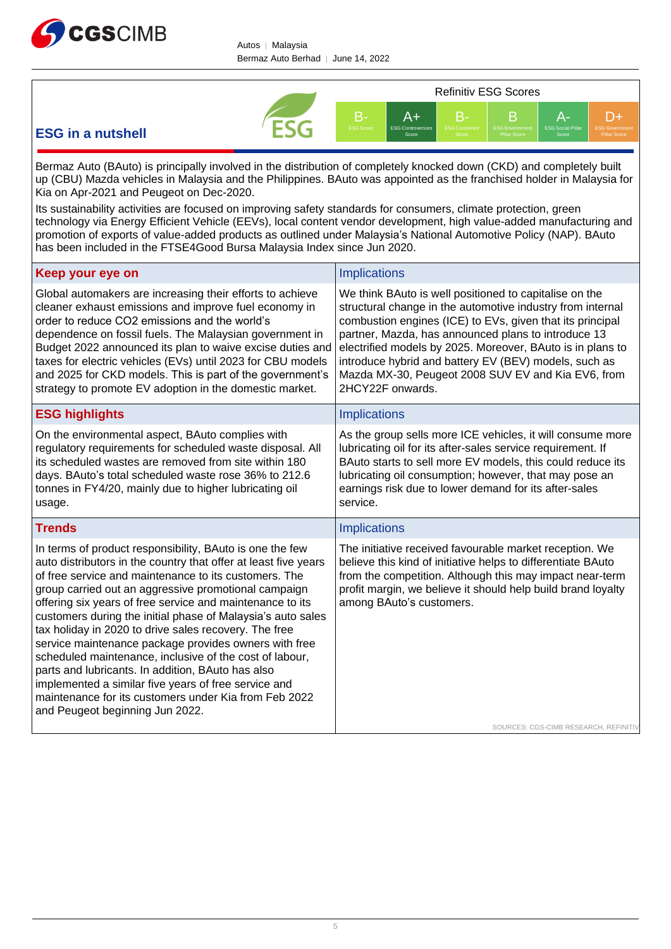

Autos │ Malaysia Bermaz Auto Berhad │ June 14, 2022



# **ESG in a nutshell**

Bermaz Auto (BAuto) is principally involved in the distribution of completely knocked down (CKD) and completely built up (CBU) Mazda vehicles in Malaysia and the Philippines. BAuto was appointed as the franchised holder in Malaysia for Kia on Apr-2021 and Peugeot on Dec-2020.

Its sustainability activities are focused on improving safety standards for consumers, climate protection, green technology via Energy Efficient Vehicle (EEVs), local content vendor development, high value-added manufacturing and promotion of exports of value-added products as outlined under Malaysia's National Automotive Policy (NAP). BAuto has been included in the FTSE4Good Bursa Malaysia Index since Jun 2020.

| Keep your eye on                                                                                                                                                                                                                                                                                                                                                                                                                                                                                                                                                                                                                                                                                                                                               | <b>Implications</b>                                                                                                                                                                                                                                                                                                                                                                                                                       |
|----------------------------------------------------------------------------------------------------------------------------------------------------------------------------------------------------------------------------------------------------------------------------------------------------------------------------------------------------------------------------------------------------------------------------------------------------------------------------------------------------------------------------------------------------------------------------------------------------------------------------------------------------------------------------------------------------------------------------------------------------------------|-------------------------------------------------------------------------------------------------------------------------------------------------------------------------------------------------------------------------------------------------------------------------------------------------------------------------------------------------------------------------------------------------------------------------------------------|
| Global automakers are increasing their efforts to achieve<br>cleaner exhaust emissions and improve fuel economy in<br>order to reduce CO2 emissions and the world's<br>dependence on fossil fuels. The Malaysian government in<br>Budget 2022 announced its plan to waive excise duties and<br>taxes for electric vehicles (EVs) until 2023 for CBU models<br>and 2025 for CKD models. This is part of the government's<br>strategy to promote EV adoption in the domestic market.                                                                                                                                                                                                                                                                             | We think BAuto is well positioned to capitalise on the<br>structural change in the automotive industry from internal<br>combustion engines (ICE) to EVs, given that its principal<br>partner, Mazda, has announced plans to introduce 13<br>electrified models by 2025. Moreover, BAuto is in plans to<br>introduce hybrid and battery EV (BEV) models, such as<br>Mazda MX-30, Peugeot 2008 SUV EV and Kia EV6, from<br>2HCY22F onwards. |
| <b>ESG highlights</b>                                                                                                                                                                                                                                                                                                                                                                                                                                                                                                                                                                                                                                                                                                                                          | <b>Implications</b>                                                                                                                                                                                                                                                                                                                                                                                                                       |
| On the environmental aspect, BAuto complies with<br>regulatory requirements for scheduled waste disposal. All<br>its scheduled wastes are removed from site within 180<br>days. BAuto's total scheduled waste rose 36% to 212.6<br>tonnes in FY4/20, mainly due to higher lubricating oil<br>usage.                                                                                                                                                                                                                                                                                                                                                                                                                                                            | As the group sells more ICE vehicles, it will consume more<br>lubricating oil for its after-sales service requirement. If<br>BAuto starts to sell more EV models, this could reduce its<br>lubricating oil consumption; however, that may pose an<br>earnings risk due to lower demand for its after-sales<br>service.                                                                                                                    |
| <b>Trends</b>                                                                                                                                                                                                                                                                                                                                                                                                                                                                                                                                                                                                                                                                                                                                                  | <b>Implications</b>                                                                                                                                                                                                                                                                                                                                                                                                                       |
| In terms of product responsibility, BAuto is one the few<br>auto distributors in the country that offer at least five years<br>of free service and maintenance to its customers. The<br>group carried out an aggressive promotional campaign<br>offering six years of free service and maintenance to its<br>customers during the initial phase of Malaysia's auto sales<br>tax holiday in 2020 to drive sales recovery. The free<br>service maintenance package provides owners with free<br>scheduled maintenance, inclusive of the cost of labour,<br>parts and lubricants. In addition, BAuto has also<br>implemented a similar five years of free service and<br>maintenance for its customers under Kia from Feb 2022<br>and Peugeot beginning Jun 2022. | The initiative received favourable market reception. We<br>believe this kind of initiative helps to differentiate BAuto<br>from the competition. Although this may impact near-term<br>profit margin, we believe it should help build brand loyalty<br>among BAuto's customers.                                                                                                                                                           |
|                                                                                                                                                                                                                                                                                                                                                                                                                                                                                                                                                                                                                                                                                                                                                                | SOURCES: CGS-CIMB RESEARCH, REFINITIV                                                                                                                                                                                                                                                                                                                                                                                                     |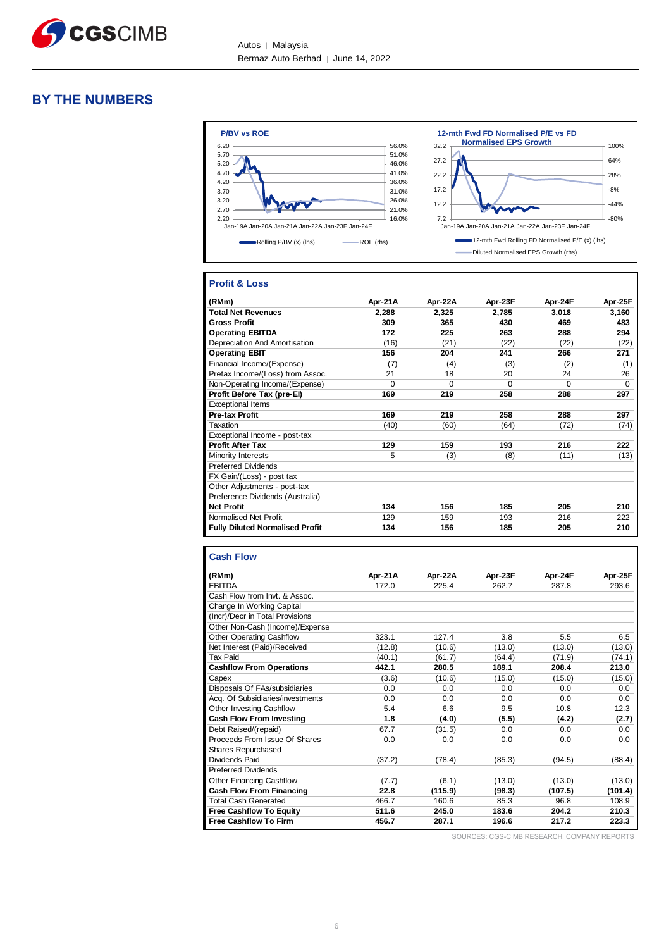

# **BY THE NUMBERS**



# **Profit & Loss**

| (RMm)                                  | Apr-21A  | Apr-22A  | Apr-23F  | Apr-24F | Apr-25F  |
|----------------------------------------|----------|----------|----------|---------|----------|
| <b>Total Net Revenues</b>              | 2,288    | 2,325    | 2,785    | 3,018   | 3,160    |
| <b>Gross Profit</b>                    | 309      | 365      | 430      | 469     | 483      |
| <b>Operating EBITDA</b>                | 172      | 225      | 263      | 288     | 294      |
| Depreciation And Amortisation          | (16)     | (21)     | (22)     | (22)    | (22)     |
| <b>Operating EBIT</b>                  | 156      | 204      | 241      | 266     | 271      |
| Financial Income/(Expense)             | (7)      | (4)      | (3)      | (2)     | (1)      |
| Pretax Income/(Loss) from Assoc.       | 21       | 18       | 20       | 24      | 26       |
| Non-Operating Income/(Expense)         | $\Omega$ | $\Omega$ | $\Omega$ | 0       | $\Omega$ |
| Profit Before Tax (pre-El)             | 169      | 219      | 258      | 288     | 297      |
| <b>Exceptional Items</b>               |          |          |          |         |          |
| <b>Pre-tax Profit</b>                  | 169      | 219      | 258      | 288     | 297      |
| Taxation                               | (40)     | (60)     | (64)     | (72)    | (74)     |
| Exceptional Income - post-tax          |          |          |          |         |          |
| <b>Profit After Tax</b>                | 129      | 159      | 193      | 216     | 222      |
| Minority Interests                     | 5        | (3)      | (8)      | (11)    | (13)     |
| <b>Preferred Dividends</b>             |          |          |          |         |          |
| FX Gain/(Loss) - post tax              |          |          |          |         |          |
| Other Adjustments - post-tax           |          |          |          |         |          |
| Preference Dividends (Australia)       |          |          |          |         |          |
| <b>Net Profit</b>                      | 134      | 156      | 185      | 205     | 210      |
| Normalised Net Profit                  | 129      | 159      | 193      | 216     | 222      |
| <b>Fully Diluted Normalised Profit</b> | 134      | 156      | 185      | 205     | 210      |

| <b>Cash Flow</b>                 |         |         |         |         |         |
|----------------------------------|---------|---------|---------|---------|---------|
| (RMm)                            | Apr-21A | Apr-22A | Apr-23F | Apr-24F | Apr-25F |
| <b>EBITDA</b>                    | 172.0   | 225.4   | 262.7   | 287.8   | 293.6   |
| Cash Flow from Invt. & Assoc.    |         |         |         |         |         |
| Change In Working Capital        |         |         |         |         |         |
| (Incr)/Decr in Total Provisions  |         |         |         |         |         |
| Other Non-Cash (Income)/Expense  |         |         |         |         |         |
| Other Operating Cashflow         | 323.1   | 127.4   | 3.8     | 5.5     | 6.5     |
| Net Interest (Paid)/Received     | (12.8)  | (10.6)  | (13.0)  | (13.0)  | (13.0)  |
| <b>Tax Paid</b>                  | (40.1)  | (61.7)  | (64.4)  | (71.9)  | (74.1)  |
| <b>Cashflow From Operations</b>  | 442.1   | 280.5   | 189.1   | 208.4   | 213.0   |
| Capex                            | (3.6)   | (10.6)  | (15.0)  | (15.0)  | (15.0)  |
| Disposals Of FAs/subsidiaries    | 0.0     | 0.0     | 0.0     | 0.0     | 0.0     |
| Acg. Of Subsidiaries/investments | 0.0     | 0.0     | 0.0     | 0.0     | 0.0     |
| Other Investing Cashflow         | 5.4     | 6.6     | 9.5     | 10.8    | 12.3    |
| <b>Cash Flow From Investing</b>  | 1.8     | (4.0)   | (5.5)   | (4.2)   | (2.7)   |
| Debt Raised/(repaid)             | 67.7    | (31.5)  | 0.0     | 0.0     | 0.0     |
| Proceeds From Issue Of Shares    | 0.0     | 0.0     | 0.0     | 0.0     | 0.0     |
| Shares Repurchased               |         |         |         |         |         |
| Dividends Paid                   | (37.2)  | (78.4)  | (85.3)  | (94.5)  | (88.4)  |
| <b>Preferred Dividends</b>       |         |         |         |         |         |
| <b>Other Financing Cashflow</b>  | (7.7)   | (6.1)   | (13.0)  | (13.0)  | (13.0)  |
| <b>Cash Flow From Financing</b>  | 22.8    | (115.9) | (98.3)  | (107.5) | (101.4) |
| <b>Total Cash Generated</b>      | 466.7   | 160.6   | 85.3    | 96.8    | 108.9   |
| <b>Free Cashflow To Equity</b>   | 511.6   | 245.0   | 183.6   | 204.2   | 210.3   |
| <b>Free Cashflow To Firm</b>     | 456.7   | 287.1   | 196.6   | 217.2   | 223.3   |

SOURCES: CGS-CIMB RESEARCH, COMPANY REPORTS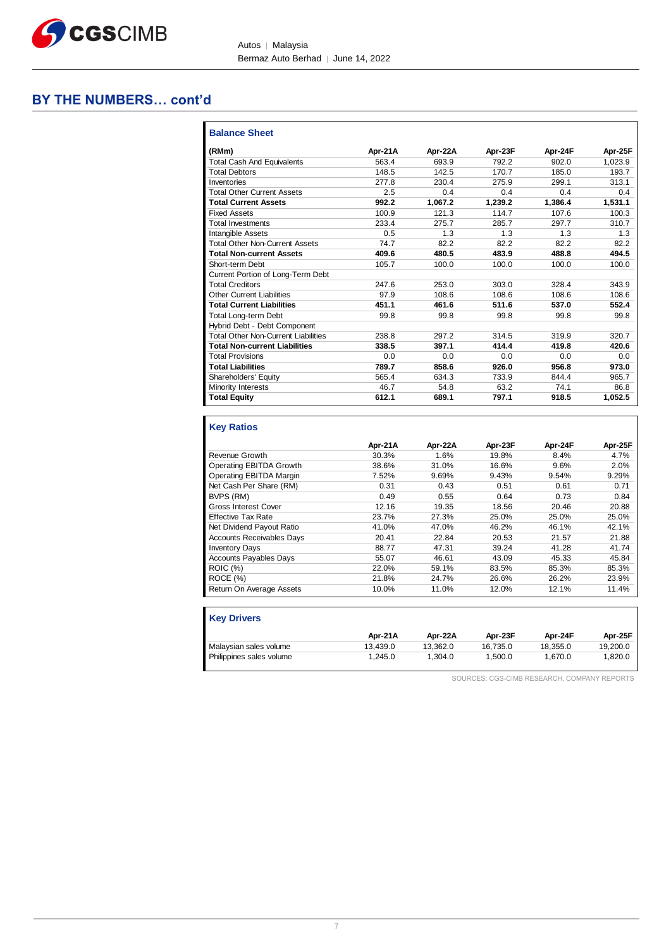

# **BY THE NUMBERS… cont'd**

| <b>Balance Sheet</b>                       |         |         |         |         |         |
|--------------------------------------------|---------|---------|---------|---------|---------|
| (RMm)                                      | Apr-21A | Apr-22A | Apr-23F | Apr-24F | Apr-25F |
| <b>Total Cash And Equivalents</b>          | 563.4   | 693.9   | 792.2   | 902.0   | 1,023.9 |
| <b>Total Debtors</b>                       | 148.5   | 142.5   | 170.7   | 185.0   | 193.7   |
| Inventories                                | 277.8   | 230.4   | 275.9   | 299.1   | 313.1   |
| <b>Total Other Current Assets</b>          | 2.5     | 0.4     | 0.4     | 0.4     | 0.4     |
| <b>Total Current Assets</b>                | 992.2   | 1,067.2 | 1,239.2 | 1,386.4 | 1,531.1 |
| <b>Fixed Assets</b>                        | 100.9   | 121.3   | 114.7   | 107.6   | 100.3   |
| <b>Total Investments</b>                   | 233.4   | 275.7   | 285.7   | 297.7   | 310.7   |
| Intangible Assets                          | 0.5     | 1.3     | 1.3     | 1.3     | 1.3     |
| <b>Total Other Non-Current Assets</b>      | 74.7    | 82.2    | 82.2    | 82.2    | 82.2    |
| <b>Total Non-current Assets</b>            | 409.6   | 480.5   | 483.9   | 488.8   | 494.5   |
| Short-term Debt                            | 105.7   | 100.0   | 100.0   | 100.0   | 100.0   |
| Current Portion of Long-Term Debt          |         |         |         |         |         |
| <b>Total Creditors</b>                     | 247.6   | 253.0   | 303.0   | 328.4   | 343.9   |
| <b>Other Current Liabilities</b>           | 97.9    | 108.6   | 108.6   | 108.6   | 108.6   |
| <b>Total Current Liabilities</b>           | 451.1   | 461.6   | 511.6   | 537.0   | 552.4   |
| <b>Total Long-term Debt</b>                | 99.8    | 99.8    | 99.8    | 99.8    | 99.8    |
| Hybrid Debt - Debt Component               |         |         |         |         |         |
| <b>Total Other Non-Current Liabilities</b> | 238.8   | 297.2   | 314.5   | 319.9   | 320.7   |
| <b>Total Non-current Liabilities</b>       | 338.5   | 397.1   | 414.4   | 419.8   | 420.6   |
| <b>Total Provisions</b>                    | 0.0     | 0.0     | 0.0     | 0.0     | 0.0     |
| <b>Total Liabilities</b>                   | 789.7   | 858.6   | 926.0   | 956.8   | 973.0   |
| Shareholders' Equity                       | 565.4   | 634.3   | 733.9   | 844.4   | 965.7   |
| Minority Interests                         | 46.7    | 54.8    | 63.2    | 74.1    | 86.8    |
| <b>Total Equity</b>                        | 612.1   | 689.1   | 797.1   | 918.5   | 1,052.5 |
| <b>Key Ratios</b>                          | Apr-21A | Apr-22A | Apr-23F | Apr-24F | Apr-25F |
| Revenue Growth                             | 30.3%   | 1.6%    | 19.8%   | 8.4%    | 4.7%    |
| <b>Operating EBITDA Growth</b>             | 38.6%   | 31.0%   | 16.6%   | 9.6%    | 2.0%    |
| Operating EBITDA Margin                    | 7.52%   | 9.69%   | 9.43%   | 9.54%   | 9.29%   |
| Net Cash Per Share (RM)                    | 0.31    | 0.43    | 0.51    | 0.61    | 0.71    |

|                                  | .     |       | .     | .     | .     |
|----------------------------------|-------|-------|-------|-------|-------|
| Revenue Growth                   | 30.3% | 1.6%  | 19.8% | 8.4%  | 4.7%  |
| Operating EBITDA Growth          | 38.6% | 31.0% | 16.6% | 9.6%  | 2.0%  |
| Operating EBITDA Margin          | 7.52% | 9.69% | 9.43% | 9.54% | 9.29% |
| Net Cash Per Share (RM)          | 0.31  | 0.43  | 0.51  | 0.61  | 0.71  |
| BVPS (RM)                        | 0.49  | 0.55  | 0.64  | 0.73  | 0.84  |
| Gross Interest Cover             | 12.16 | 19.35 | 18.56 | 20.46 | 20.88 |
| <b>Effective Tax Rate</b>        | 23.7% | 27.3% | 25.0% | 25.0% | 25.0% |
| Net Dividend Payout Ratio        | 41.0% | 47.0% | 46.2% | 46.1% | 42.1% |
| <b>Accounts Receivables Days</b> | 20.41 | 22.84 | 20.53 | 21.57 | 21.88 |
| <b>Inventory Days</b>            | 88.77 | 47.31 | 39.24 | 41.28 | 41.74 |
| <b>Accounts Payables Days</b>    | 55.07 | 46.61 | 43.09 | 45.33 | 45.84 |
| ROIC (%)                         | 22.0% | 59.1% | 83.5% | 85.3% | 85.3% |
| ROCE (%)                         | 21.8% | 24.7% | 26.6% | 26.2% | 23.9% |
| Return On Average Assets         | 10.0% | 11.0% | 12.0% | 12.1% | 11.4% |
|                                  |       |       |       |       |       |

| <b>Kev Drivers</b>       |          |          |          |          |          |
|--------------------------|----------|----------|----------|----------|----------|
|                          | Apr-21A  | Apr-22A  | Apr-23F  | Apr-24F  | Apr-25F  |
| Malaysian sales volume   | 13.439.0 | 13.362.0 | 16.735.0 | 18.355.0 | 19.200.0 |
| Philippines sales volume | 1.245.0  | 1.304.0  | 1.500.0  | 1.670.0  | 1.820.0  |

SOURCES: CGS-CIMB RESEARCH, COMPANY REPORTS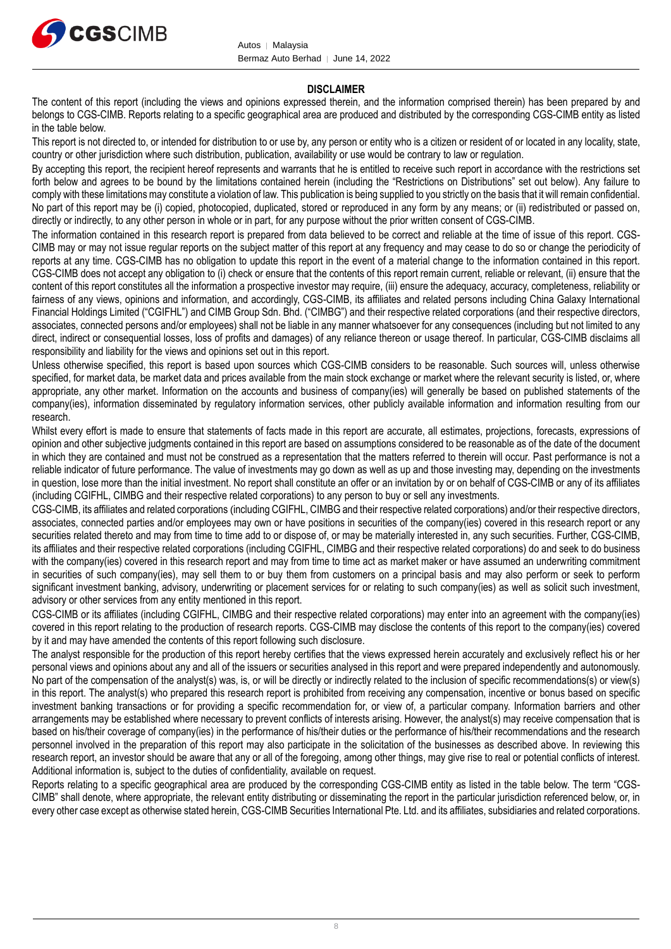

# **DISCLAIMER**

The content of this report (including the views and opinions expressed therein, and the information comprised therein) has been prepared by and belongs to CGS-CIMB. Reports relating to a specific geographical area are produced and distributed by the corresponding CGS-CIMB entity as listed in the table below.

This report is not directed to, or intended for distribution to or use by, any person or entity who is a citizen or resident of or located in any locality, state, country or other jurisdiction where such distribution, publication, availability or use would be contrary to law or regulation.

By accepting this report, the recipient hereof represents and warrants that he is entitled to receive such report in accordance with the restrictions set forth below and agrees to be bound by the limitations contained herein (including the "Restrictions on Distributions" set out below). Any failure to comply with these limitations may constitute a violation of law. This publication is being supplied to you strictly on the basis that it will remain confidential. No part of this report may be (i) copied, photocopied, duplicated, stored or reproduced in any form by any means; or (ii) redistributed or passed on, directly or indirectly, to any other person in whole or in part, for any purpose without the prior written consent of CGS-CIMB.

The information contained in this research report is prepared from data believed to be correct and reliable at the time of issue of this report. CGS-CIMB may or may not issue regular reports on the subject matter of this report at any frequency and may cease to do so or change the periodicity of reports at any time. CGS-CIMB has no obligation to update this report in the event of a material change to the information contained in this report. CGS-CIMB does not accept any obligation to (i) check or ensure that the contents of this report remain current, reliable or relevant, (ii) ensure that the content of this report constitutes all the information a prospective investor may require, (iii) ensure the adequacy, accuracy, completeness, reliability or fairness of any views, opinions and information, and accordingly, CGS-CIMB, its affiliates and related persons including China Galaxy International Financial Holdings Limited ("CGIFHL") and CIMB Group Sdn. Bhd. ("CIMBG") and their respective related corporations (and their respective directors, associates, connected persons and/or employees) shall not be liable in any manner whatsoever for any consequences (including but not limited to any direct, indirect or consequential losses, loss of profits and damages) of any reliance thereon or usage thereof. In particular, CGS-CIMB disclaims all responsibility and liability for the views and opinions set out in this report.

Unless otherwise specified, this report is based upon sources which CGS-CIMB considers to be reasonable. Such sources will, unless otherwise specified, for market data, be market data and prices available from the main stock exchange or market where the relevant security is listed, or, where appropriate, any other market. Information on the accounts and business of company(ies) will generally be based on published statements of the company(ies), information disseminated by regulatory information services, other publicly available information and information resulting from our research.

Whilst every effort is made to ensure that statements of facts made in this report are accurate, all estimates, projections, forecasts, expressions of opinion and other subjective judgments contained in this report are based on assumptions considered to be reasonable as of the date of the document in which they are contained and must not be construed as a representation that the matters referred to therein will occur. Past performance is not a reliable indicator of future performance. The value of investments may go down as well as up and those investing may, depending on the investments in question, lose more than the initial investment. No report shall constitute an offer or an invitation by or on behalf of CGS-CIMB or any of its affiliates (including CGIFHL, CIMBG and their respective related corporations) to any person to buy or sell any investments.

CGS-CIMB, its affiliates and related corporations (including CGIFHL, CIMBG and their respective related corporations) and/or their respective directors, associates, connected parties and/or employees may own or have positions in securities of the company(ies) covered in this research report or any securities related thereto and may from time to time add to or dispose of, or may be materially interested in, any such securities. Further, CGS-CIMB, its affiliates and their respective related corporations (including CGIFHL, CIMBG and their respective related corporations) do and seek to do business with the company(ies) covered in this research report and may from time to time act as market maker or have assumed an underwriting commitment in securities of such company(ies), may sell them to or buy them from customers on a principal basis and may also perform or seek to perform significant investment banking, advisory, underwriting or placement services for or relating to such company(ies) as well as solicit such investment, advisory or other services from any entity mentioned in this report.

CGS-CIMB or its affiliates (including CGIFHL, CIMBG and their respective related corporations) may enter into an agreement with the company(ies) covered in this report relating to the production of research reports. CGS-CIMB may disclose the contents of this report to the company(ies) covered by it and may have amended the contents of this report following such disclosure.

The analyst responsible for the production of this report hereby certifies that the views expressed herein accurately and exclusively reflect his or her personal views and opinions about any and all of the issuers or securities analysed in this report and were prepared independently and autonomously. No part of the compensation of the analyst(s) was, is, or will be directly or indirectly related to the inclusion of specific recommendations(s) or view(s) in this report. The analyst(s) who prepared this research report is prohibited from receiving any compensation, incentive or bonus based on specific investment banking transactions or for providing a specific recommendation for, or view of, a particular company. Information barriers and other arrangements may be established where necessary to prevent conflicts of interests arising. However, the analyst(s) may receive compensation that is based on his/their coverage of company(ies) in the performance of his/their duties or the performance of his/their recommendations and the research personnel involved in the preparation of this report may also participate in the solicitation of the businesses as described above. In reviewing this research report, an investor should be aware that any or all of the foregoing, among other things, may give rise to real or potential conflicts of interest. Additional information is, subject to the duties of confidentiality, available on request.

Reports relating to a specific geographical area are produced by the corresponding CGS-CIMB entity as listed in the table below. The term "CGS-CIMB" shall denote, where appropriate, the relevant entity distributing or disseminating the report in the particular jurisdiction referenced below, or, in every other case except as otherwise stated herein, CGS-CIMB Securities International Pte. Ltd. and its affiliates, subsidiaries and related corporations.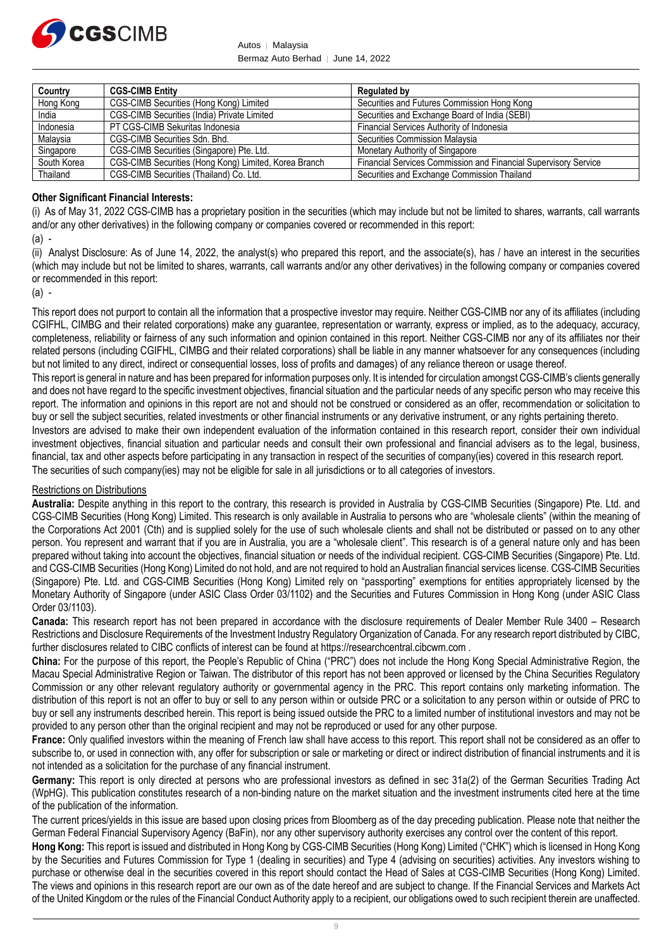

Autos │ Malaysia Bermaz Auto Berhad | June 14, 2022

| Country     | <b>CGS-CIMB Entity</b>                                | <b>Regulated by</b>                                             |
|-------------|-------------------------------------------------------|-----------------------------------------------------------------|
| Hong Kong   | CGS-CIMB Securities (Hong Kong) Limited               | Securities and Futures Commission Hong Kong                     |
| India       | CGS-CIMB Securities (India) Private Limited           | Securities and Exchange Board of India (SEBI)                   |
| Indonesia   | PT CGS-CIMB Sekuritas Indonesia                       | Financial Services Authority of Indonesia                       |
| Malaysia    | CGS-CIMB Securities Sdn. Bhd.                         | Securities Commission Malaysia                                  |
| Singapore   | CGS-CIMB Securities (Singapore) Pte. Ltd.             | Monetary Authority of Singapore                                 |
| South Korea | CGS-CIMB Securities (Hong Kong) Limited, Korea Branch | Financial Services Commission and Financial Supervisory Service |
| Thailand    | CGS-CIMB Securities (Thailand) Co. Ltd.               | Securities and Exchange Commission Thailand                     |

# **Other Significant Financial Interests:**

(i) As of May 31, 2022 CGS-CIMB has a proprietary position in the securities (which may include but not be limited to shares, warrants, call warrants and/or any other derivatives) in the following company or companies covered or recommended in this report:

(a) -

(ii) Analyst Disclosure: As of June 14, 2022, the analyst(s) who prepared this report, and the associate(s), has / have an interest in the securities (which may include but not be limited to shares, warrants, call warrants and/or any other derivatives) in the following company or companies covered or recommended in this report:

(a) -

This report does not purport to contain all the information that a prospective investor may require. Neither CGS-CIMB nor any of its affiliates (including CGIFHL, CIMBG and their related corporations) make any guarantee, representation or warranty, express or implied, as to the adequacy, accuracy, completeness, reliability or fairness of any such information and opinion contained in this report. Neither CGS-CIMB nor any of its affiliates nor their related persons (including CGIFHL, CIMBG and their related corporations) shall be liable in any manner whatsoever for any consequences (including but not limited to any direct, indirect or consequential losses, loss of profits and damages) of any reliance thereon or usage thereof.

This report is general in nature and has been prepared for information purposes only. It is intended for circulation amongst CGS-CIMB's clients generally and does not have regard to the specific investment objectives, financial situation and the particular needs of any specific person who may receive this report. The information and opinions in this report are not and should not be construed or considered as an offer, recommendation or solicitation to buy or sell the subject securities, related investments or other financial instruments or any derivative instrument, or any rights pertaining thereto.

Investors are advised to make their own independent evaluation of the information contained in this research report, consider their own individual investment objectives, financial situation and particular needs and consult their own professional and financial advisers as to the legal, business, financial, tax and other aspects before participating in any transaction in respect of the securities of company(ies) covered in this research report. The securities of such company(ies) may not be eligible for sale in all jurisdictions or to all categories of investors.

### Restrictions on Distributions

**Australia:** Despite anything in this report to the contrary, this research is provided in Australia by CGS-CIMB Securities (Singapore) Pte. Ltd. and CGS-CIMB Securities (Hong Kong) Limited. This research is only available in Australia to persons who are "wholesale clients" (within the meaning of the Corporations Act 2001 (Cth) and is supplied solely for the use of such wholesale clients and shall not be distributed or passed on to any other person. You represent and warrant that if you are in Australia, you are a "wholesale client". This research is of a general nature only and has been prepared without taking into account the objectives, financial situation or needs of the individual recipient. CGS-CIMB Securities (Singapore) Pte. Ltd. and CGS-CIMB Securities (Hong Kong) Limited do not hold, and are not required to hold an Australian financial services license. CGS-CIMB Securities (Singapore) Pte. Ltd. and CGS-CIMB Securities (Hong Kong) Limited rely on "passporting" exemptions for entities appropriately licensed by the Monetary Authority of Singapore (under ASIC Class Order 03/1102) and the Securities and Futures Commission in Hong Kong (under ASIC Class Order 03/1103).

**Canada:** This research report has not been prepared in accordance with the disclosure requirements of Dealer Member Rule 3400 – Research Restrictions and Disclosure Requirements of the Investment Industry Regulatory Organization of Canada. For any research report distributed by CIBC, further disclosures related to CIBC conflicts of interest can be found at https://researchcentral.cibcwm.com .

**China:** For the purpose of this report, the People's Republic of China ("PRC") does not include the Hong Kong Special Administrative Region, the Macau Special Administrative Region or Taiwan. The distributor of this report has not been approved or licensed by the China Securities Regulatory Commission or any other relevant regulatory authority or governmental agency in the PRC. This report contains only marketing information. The distribution of this report is not an offer to buy or sell to any person within or outside PRC or a solicitation to any person within or outside of PRC to buy or sell any instruments described herein. This report is being issued outside the PRC to a limited number of institutional investors and may not be provided to any person other than the original recipient and may not be reproduced or used for any other purpose.

**France:** Only qualified investors within the meaning of French law shall have access to this report. This report shall not be considered as an offer to subscribe to, or used in connection with, any offer for subscription or sale or marketing or direct or indirect distribution of financial instruments and it is not intended as a solicitation for the purchase of any financial instrument.

Germany: This report is only directed at persons who are professional investors as defined in sec 31a(2) of the German Securities Trading Act (WpHG). This publication constitutes research of a non-binding nature on the market situation and the investment instruments cited here at the time of the publication of the information.

The current prices/yields in this issue are based upon closing prices from Bloomberg as of the day preceding publication. Please note that neither the German Federal Financial Supervisory Agency (BaFin), nor any other supervisory authority exercises any control over the content of this report.

**Hong Kong:** This report is issued and distributed in Hong Kong by CGS-CIMB Securities (Hong Kong) Limited ("CHK") which is licensed in Hong Kong by the Securities and Futures Commission for Type 1 (dealing in securities) and Type 4 (advising on securities) activities. Any investors wishing to purchase or otherwise deal in the securities covered in this report should contact the Head of Sales at CGS-CIMB Securities (Hong Kong) Limited. The views and opinions in this research report are our own as of the date hereof and are subject to change. If the Financial Services and Markets Act of the United Kingdom or the rules of the Financial Conduct Authority apply to a recipient, our obligations owed to such recipient therein are unaffected.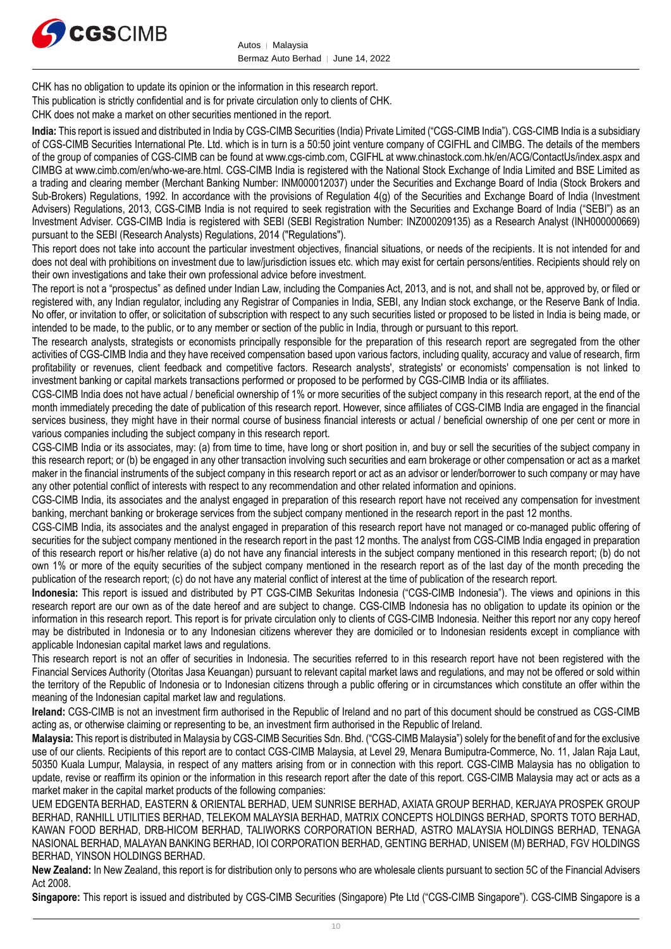

CHK has no obligation to update its opinion or the information in this research report.

This publication is strictly confidential and is for private circulation only to clients of CHK.

CHK does not make a market on other securities mentioned in the report.

**India:** This report is issued and distributed in India by CGS-CIMB Securities (India) Private Limited ("CGS-CIMB India"). CGS-CIMB India is a subsidiary of CGS-CIMB Securities International Pte. Ltd. which is in turn is a 50:50 joint venture company of CGIFHL and CIMBG. The details of the members of the group of companies of CGS-CIMB can be found at www.cgs-cimb.com, CGIFHL at www.chinastock.com.hk/en/ACG/ContactUs/index.aspx and CIMBG at www.cimb.com/en/who-we-are.html. CGS-CIMB India is registered with the National Stock Exchange of India Limited and BSE Limited as a trading and clearing member (Merchant Banking Number: INM000012037) under the Securities and Exchange Board of India (Stock Brokers and Sub-Brokers) Regulations, 1992. In accordance with the provisions of Regulation 4(g) of the Securities and Exchange Board of India (Investment Advisers) Regulations, 2013, CGS-CIMB India is not required to seek registration with the Securities and Exchange Board of India ("SEBI") as an Investment Adviser. CGS-CIMB India is registered with SEBI (SEBI Registration Number: INZ000209135) as a Research Analyst (INH000000669) pursuant to the SEBI (Research Analysts) Regulations, 2014 ("Regulations").

This report does not take into account the particular investment objectives, financial situations, or needs of the recipients. It is not intended for and does not deal with prohibitions on investment due to law/jurisdiction issues etc. which may exist for certain persons/entities. Recipients should rely on their own investigations and take their own professional advice before investment.

The report is not a "prospectus" as defined under Indian Law, including the Companies Act, 2013, and is not, and shall not be, approved by, or filed or registered with, any Indian regulator, including any Registrar of Companies in India, SEBI, any Indian stock exchange, or the Reserve Bank of India. No offer, or invitation to offer, or solicitation of subscription with respect to any such securities listed or proposed to be listed in India is being made, or intended to be made, to the public, or to any member or section of the public in India, through or pursuant to this report.

The research analysts, strategists or economists principally responsible for the preparation of this research report are segregated from the other activities of CGS-CIMB India and they have received compensation based upon various factors, including quality, accuracy and value of research, firm profitability or revenues, client feedback and competitive factors. Research analysts', strategists' or economists' compensation is not linked to investment banking or capital markets transactions performed or proposed to be performed by CGS-CIMB India or its affiliates.

CGS-CIMB India does not have actual / beneficial ownership of 1% or more securities of the subject company in this research report, at the end of the month immediately preceding the date of publication of this research report. However, since affiliates of CGS-CIMB India are engaged in the financial services business, they might have in their normal course of business financial interests or actual / beneficial ownership of one per cent or more in various companies including the subject company in this research report.

CGS-CIMB India or its associates, may: (a) from time to time, have long or short position in, and buy or sell the securities of the subject company in this research report; or (b) be engaged in any other transaction involving such securities and earn brokerage or other compensation or act as a market maker in the financial instruments of the subject company in this research report or act as an advisor or lender/borrower to such company or may have any other potential conflict of interests with respect to any recommendation and other related information and opinions.

CGS-CIMB India, its associates and the analyst engaged in preparation of this research report have not received any compensation for investment banking, merchant banking or brokerage services from the subject company mentioned in the research report in the past 12 months.

CGS-CIMB India, its associates and the analyst engaged in preparation of this research report have not managed or co-managed public offering of securities for the subject company mentioned in the research report in the past 12 months. The analyst from CGS-CIMB India engaged in preparation of this research report or his/her relative (a) do not have any financial interests in the subject company mentioned in this research report; (b) do not own 1% or more of the equity securities of the subject company mentioned in the research report as of the last day of the month preceding the publication of the research report; (c) do not have any material conflict of interest at the time of publication of the research report.

**Indonesia:** This report is issued and distributed by PT CGS-CIMB Sekuritas Indonesia ("CGS-CIMB Indonesia"). The views and opinions in this research report are our own as of the date hereof and are subject to change. CGS-CIMB Indonesia has no obligation to update its opinion or the information in this research report. This report is for private circulation only to clients of CGS-CIMB Indonesia. Neither this report nor any copy hereof may be distributed in Indonesia or to any Indonesian citizens wherever they are domiciled or to Indonesian residents except in compliance with applicable Indonesian capital market laws and regulations.

This research report is not an offer of securities in Indonesia. The securities referred to in this research report have not been registered with the Financial Services Authority (Otoritas Jasa Keuangan) pursuant to relevant capital market laws and regulations, and may not be offered or sold within the territory of the Republic of Indonesia or to Indonesian citizens through a public offering or in circumstances which constitute an offer within the meaning of the Indonesian capital market law and regulations.

**Ireland:** CGS-CIMB is not an investment firm authorised in the Republic of Ireland and no part of this document should be construed as CGS-CIMB acting as, or otherwise claiming or representing to be, an investment firm authorised in the Republic of Ireland.

**Malaysia:** This report is distributed in Malaysia by CGS-CIMB Securities Sdn. Bhd. ("CGS-CIMB Malaysia") solely for the benefit of and for the exclusive use of our clients. Recipients of this report are to contact CGS-CIMB Malaysia, at Level 29, Menara Bumiputra-Commerce, No. 11, Jalan Raja Laut, 50350 Kuala Lumpur, Malaysia, in respect of any matters arising from or in connection with this report. CGS-CIMB Malaysia has no obligation to update, revise or reaffirm its opinion or the information in this research report after the date of this report. CGS-CIMB Malaysia may act or acts as a market maker in the capital market products of the following companies:

UEM EDGENTA BERHAD, EASTERN & ORIENTAL BERHAD, UEM SUNRISE BERHAD, AXIATA GROUP BERHAD, KERJAYA PROSPEK GROUP BERHAD, RANHILL UTILITIES BERHAD, TELEKOM MALAYSIA BERHAD, MATRIX CONCEPTS HOLDINGS BERHAD, SPORTS TOTO BERHAD, KAWAN FOOD BERHAD, DRB-HICOM BERHAD, TALIWORKS CORPORATION BERHAD, ASTRO MALAYSIA HOLDINGS BERHAD, TENAGA NASIONAL BERHAD, MALAYAN BANKING BERHAD, IOI CORPORATION BERHAD, GENTING BERHAD, UNISEM (M) BERHAD, FGV HOLDINGS BERHAD, YINSON HOLDINGS BERHAD.

**New Zealand:** In New Zealand, this report is for distribution only to persons who are wholesale clients pursuant to section 5C of the Financial Advisers Act 2008.

**Singapore:** This report is issued and distributed by CGS-CIMB Securities (Singapore) Pte Ltd ("CGS-CIMB Singapore"). CGS-CIMB Singapore is a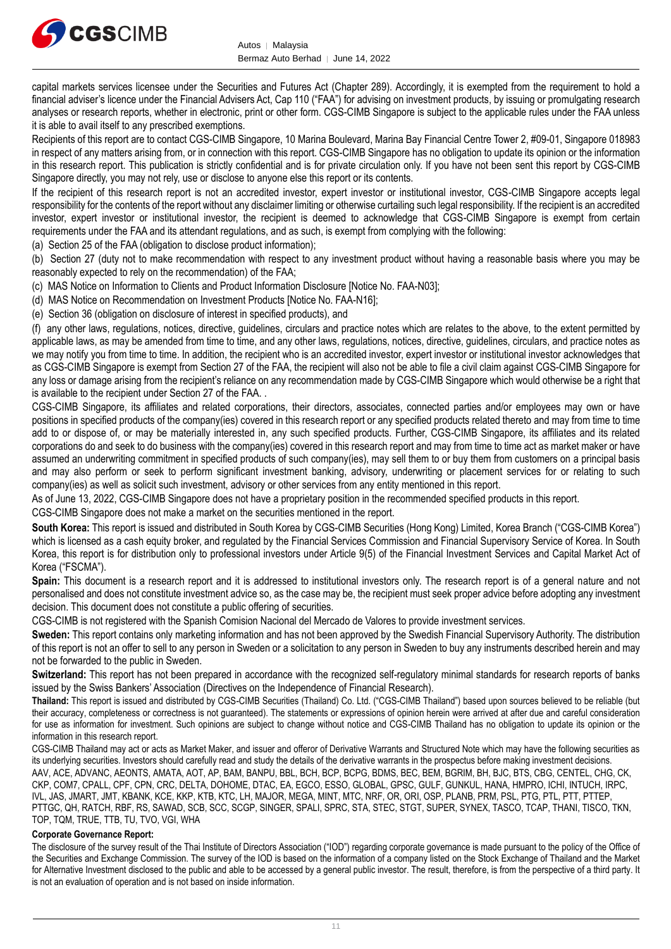

capital markets services licensee under the Securities and Futures Act (Chapter 289). Accordingly, it is exempted from the requirement to hold a financial adviser's licence under the Financial Advisers Act, Cap 110 ("FAA") for advising on investment products, by issuing or promulgating research analyses or research reports, whether in electronic, print or other form. CGS-CIMB Singapore is subject to the applicable rules under the FAA unless it is able to avail itself to any prescribed exemptions.

Recipients of this report are to contact CGS-CIMB Singapore, 10 Marina Boulevard, Marina Bay Financial Centre Tower 2, #09-01, Singapore 018983 in respect of any matters arising from, or in connection with this report. CGS-CIMB Singapore has no obligation to update its opinion or the information in this research report. This publication is strictly confidential and is for private circulation only. If you have not been sent this report by CGS-CIMB Singapore directly, you may not rely, use or disclose to anyone else this report or its contents.

If the recipient of this research report is not an accredited investor, expert investor or institutional investor, CGS-CIMB Singapore accepts legal responsibility for the contents of the report without any disclaimer limiting or otherwise curtailing such legal responsibility. If the recipient is an accredited investor, expert investor or institutional investor, the recipient is deemed to acknowledge that CGS-CIMB Singapore is exempt from certain requirements under the FAA and its attendant regulations, and as such, is exempt from complying with the following:

(a) Section 25 of the FAA (obligation to disclose product information);

(b) Section 27 (duty not to make recommendation with respect to any investment product without having a reasonable basis where you may be reasonably expected to rely on the recommendation) of the FAA;

(c) MAS Notice on Information to Clients and Product Information Disclosure [Notice No. FAA-N03];

(d) MAS Notice on Recommendation on Investment Products [Notice No. FAA-N16];

(e) Section 36 (obligation on disclosure of interest in specified products), and

(f) any other laws, regulations, notices, directive, guidelines, circulars and practice notes which are relates to the above, to the extent permitted by applicable laws, as may be amended from time to time, and any other laws, regulations, notices, directive, guidelines, circulars, and practice notes as we may notify you from time to time. In addition, the recipient who is an accredited investor, expert investor or institutional investor acknowledges that as CGS-CIMB Singapore is exempt from Section 27 of the FAA, the recipient will also not be able to file a civil claim against CGS-CIMB Singapore for any loss or damage arising from the recipient's reliance on any recommendation made by CGS-CIMB Singapore which would otherwise be a right that is available to the recipient under Section 27 of the FAA. .

CGS-CIMB Singapore, its affiliates and related corporations, their directors, associates, connected parties and/or employees may own or have positions in specified products of the company(ies) covered in this research report or any specified products related thereto and may from time to time add to or dispose of, or may be materially interested in, any such specified products. Further, CGS-CIMB Singapore, its affiliates and its related corporations do and seek to do business with the company(ies) covered in this research report and may from time to time act as market maker or have assumed an underwriting commitment in specified products of such company(ies), may sell them to or buy them from customers on a principal basis and may also perform or seek to perform significant investment banking, advisory, underwriting or placement services for or relating to such company(ies) as well as solicit such investment, advisory or other services from any entity mentioned in this report.

As of June 13, 2022, CGS-CIMB Singapore does not have a proprietary position in the recommended specified products in this report.

CGS-CIMB Singapore does not make a market on the securities mentioned in the report.

**South Korea:** This report is issued and distributed in South Korea by CGS-CIMB Securities (Hong Kong) Limited, Korea Branch ("CGS-CIMB Korea") which is licensed as a cash equity broker, and regulated by the Financial Services Commission and Financial Supervisory Service of Korea. In South Korea, this report is for distribution only to professional investors under Article 9(5) of the Financial Investment Services and Capital Market Act of Korea ("FSCMA").

**Spain:** This document is a research report and it is addressed to institutional investors only. The research report is of a general nature and not personalised and does not constitute investment advice so, as the case may be, the recipient must seek proper advice before adopting any investment decision. This document does not constitute a public offering of securities.

CGS-CIMB is not registered with the Spanish Comision Nacional del Mercado de Valores to provide investment services.

**Sweden:** This report contains only marketing information and has not been approved by the Swedish Financial Supervisory Authority. The distribution of this report is not an offer to sell to any person in Sweden or a solicitation to any person in Sweden to buy any instruments described herein and may not be forwarded to the public in Sweden.

**Switzerland:** This report has not been prepared in accordance with the recognized self-regulatory minimal standards for research reports of banks issued by the Swiss Bankers' Association (Directives on the Independence of Financial Research).

**Thailand:** This report is issued and distributed by CGS-CIMB Securities (Thailand) Co. Ltd. ("CGS-CIMB Thailand") based upon sources believed to be reliable (but their accuracy, completeness or correctness is not guaranteed). The statements or expressions of opinion herein were arrived at after due and careful consideration for use as information for investment. Such opinions are subject to change without notice and CGS-CIMB Thailand has no obligation to update its opinion or the information in this research report.

CGS-CIMB Thailand may act or acts as Market Maker, and issuer and offeror of Derivative Warrants and Structured Note which may have the following securities as its underlying securities. Investors should carefully read and study the details of the derivative warrants in the prospectus before making investment decisions. AAV, ACE, ADVANC, AEONTS, AMATA, AOT, AP, BAM, BANPU, BBL, BCH, BCP, BCPG, BDMS, BEC, BEM, BGRIM, BH, BJC, BTS, CBG, CENTEL, CHG, CK, CKP, COM7, CPALL, CPF, CPN, CRC, DELTA, DOHOME, DTAC, EA, EGCO, ESSO, GLOBAL, GPSC, GULF, GUNKUL, HANA, HMPRO, ICHI, INTUCH, IRPC, IVL, JAS, JMART, JMT, KBANK, KCE, KKP, KTB, KTC, LH, MAJOR, MEGA, MINT, MTC, NRF, OR, ORI, OSP, PLANB, PRM, PSL, PTG, PTL, PTT, PTTEP, PTTGC, QH, RATCH, RBF, RS, SAWAD, SCB, SCC, SCGP, SINGER, SPALI, SPRC, STA, STEC, STGT, SUPER, SYNEX, TASCO, TCAP, THANI, TISCO, TKN, TOP, TQM, TRUE, TTB, TU, TVO, VGI, WHA

### **Corporate Governance Report:**

The disclosure of the survey result of the Thai Institute of Directors Association ("IOD") regarding corporate governance is made pursuant to the policy of the Office of the Securities and Exchange Commission. The survey of the IOD is based on the information of a company listed on the Stock Exchange of Thailand and the Market for Alternative Investment disclosed to the public and able to be accessed by a general public investor. The result, therefore, is from the perspective of a third party. It is not an evaluation of operation and is not based on inside information.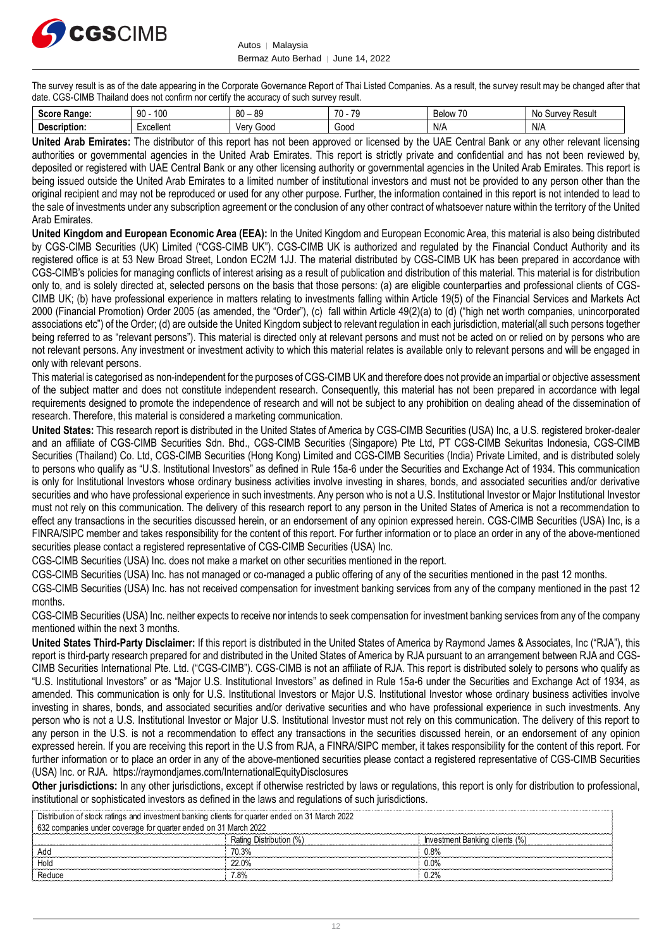

Autos │ Malaysia Bermaz Auto Berhad | June 14, 2022

The survey result is as of the date appearing in the Corporate Governance Report of Thai Listed Companies. As a result, the survey result may be changed after that date. CGS-CIMB Thailand does not confirm nor certify the accuracy of such survey result.

| $S_{\alpha\alpha\beta\alpha}$<br><b>Range:</b> | 100<br>90 | 80<br><b>QC</b><br>v. | $\rightarrow$<br>$\overline{\phantom{a}}$<br>$\prime$<br>. . | - 1<br>Below<br>7 L | ≺esulเ<br>urvey<br>.No<br>◝<br>ີ |
|------------------------------------------------|-----------|-----------------------|--------------------------------------------------------------|---------------------|----------------------------------|
| De:<br>cription.<br>.                          | -xcellent | 000ز′<br>verv         | Good                                                         | N/A                 | N/t                              |

**United Arab Emirates:** The distributor of this report has not been approved or licensed by the UAE Central Bank or any other relevant licensing authorities or governmental agencies in the United Arab Emirates. This report is strictly private and confidential and has not been reviewed by, deposited or registered with UAE Central Bank or any other licensing authority or governmental agencies in the United Arab Emirates. This report is being issued outside the United Arab Emirates to a limited number of institutional investors and must not be provided to any person other than the original recipient and may not be reproduced or used for any other purpose. Further, the information contained in this report is not intended to lead to the sale of investments under any subscription agreement or the conclusion of any other contract of whatsoever nature within the territory of the United Arab Emirates.

**United Kingdom and European Economic Area (EEA):** In the United Kingdom and European Economic Area, this material is also being distributed by CGS-CIMB Securities (UK) Limited ("CGS-CIMB UK"). CGS-CIMB UK is authorized and regulated by the Financial Conduct Authority and its registered office is at 53 New Broad Street, London EC2M 1JJ. The material distributed by CGS-CIMB UK has been prepared in accordance with CGS-CIMB's policies for managing conflicts of interest arising as a result of publication and distribution of this material. This material is for distribution only to, and is solely directed at, selected persons on the basis that those persons: (a) are eligible counterparties and professional clients of CGS-CIMB UK; (b) have professional experience in matters relating to investments falling within Article 19(5) of the Financial Services and Markets Act 2000 (Financial Promotion) Order 2005 (as amended, the "Order"), (c) fall within Article 49(2)(a) to (d) ("high net worth companies, unincorporated associations etc") of the Order; (d) are outside the United Kingdom subject to relevant regulation in each jurisdiction, material(all such persons together being referred to as "relevant persons"). This material is directed only at relevant persons and must not be acted on or relied on by persons who are not relevant persons. Any investment or investment activity to which this material relates is available only to relevant persons and will be engaged in only with relevant persons.

This material is categorised as non-independent for the purposes of CGS-CIMB UK and therefore does not provide an impartial or objective assessment of the subject matter and does not constitute independent research. Consequently, this material has not been prepared in accordance with legal requirements designed to promote the independence of research and will not be subject to any prohibition on dealing ahead of the dissemination of research. Therefore, this material is considered a marketing communication.

**United States:** This research report is distributed in the United States of America by CGS-CIMB Securities (USA) Inc, a U.S. registered broker-dealer and an affiliate of CGS-CIMB Securities Sdn. Bhd., CGS-CIMB Securities (Singapore) Pte Ltd, PT CGS-CIMB Sekuritas Indonesia, CGS-CIMB Securities (Thailand) Co. Ltd, CGS-CIMB Securities (Hong Kong) Limited and CGS-CIMB Securities (India) Private Limited, and is distributed solely to persons who qualify as "U.S. Institutional Investors" as defined in Rule 15a-6 under the Securities and Exchange Act of 1934. This communication is only for Institutional Investors whose ordinary business activities involve investing in shares, bonds, and associated securities and/or derivative securities and who have professional experience in such investments. Any person who is not a U.S. Institutional Investor or Major Institutional Investor must not rely on this communication. The delivery of this research report to any person in the United States of America is not a recommendation to effect any transactions in the securities discussed herein, or an endorsement of any opinion expressed herein. CGS-CIMB Securities (USA) Inc, is a FINRA/SIPC member and takes responsibility for the content of this report. For further information or to place an order in any of the above-mentioned securities please contact a registered representative of CGS-CIMB Securities (USA) Inc.

CGS-CIMB Securities (USA) Inc. does not make a market on other securities mentioned in the report.

CGS-CIMB Securities (USA) Inc. has not managed or co-managed a public offering of any of the securities mentioned in the past 12 months.

CGS-CIMB Securities (USA) Inc. has not received compensation for investment banking services from any of the company mentioned in the past 12 months.

CGS-CIMB Securities (USA) Inc. neither expects to receive nor intends to seek compensation for investment banking services from any of the company mentioned within the next 3 months.

**United States Third-Party Disclaimer:** If this report is distributed in the United States of America by Raymond James & Associates, Inc ("RJA"), this report is third-party research prepared for and distributed in the United States of America by RJA pursuant to an arrangement between RJA and CGS-CIMB Securities International Pte. Ltd. ("CGS-CIMB"). CGS-CIMB is not an affiliate of RJA. This report is distributed solely to persons who qualify as "U.S. Institutional Investors" or as "Major U.S. Institutional Investors" as defined in Rule 15a-6 under the Securities and Exchange Act of 1934, as amended. This communication is only for U.S. Institutional Investors or Major U.S. Institutional Investor whose ordinary business activities involve investing in shares, bonds, and associated securities and/or derivative securities and who have professional experience in such investments. Any person who is not a U.S. Institutional Investor or Major U.S. Institutional Investor must not rely on this communication. The delivery of this report to any person in the U.S. is not a recommendation to effect any transactions in the securities discussed herein, or an endorsement of any opinion expressed herein. If you are receiving this report in the U.S from RJA, a FINRA/SIPC member, it takes responsibility for the content of this report. For further information or to place an order in any of the above-mentioned securities please contact a registered representative of CGS-CIMB Securities (USA) Inc. or RJA.<https://raymondjames.com/InternationalEquityDisclosures>

**Other jurisdictions:** In any other jurisdictions, except if otherwise restricted by laws or regulations, this report is only for distribution to professional, institutional or sophisticated investors as defined in the laws and regulations of such jurisdictions.

| Distribution of stock ratings and investment banking clients for quarter ended on 31 March 2022 |                         |                                |
|-------------------------------------------------------------------------------------------------|-------------------------|--------------------------------|
| 632 companies under coverage for quarter ended on 31 March 2022                                 |                         |                                |
|                                                                                                 | Rating Distribution (%) | Investment Banking clients (%) |
| Ado                                                                                             | 70.3%                   | 0.8%                           |
| Hold                                                                                            | 22 0 <sub>%</sub>       | 0.0%                           |
| Reduce                                                                                          | 7.8%                    | 0.2%                           |